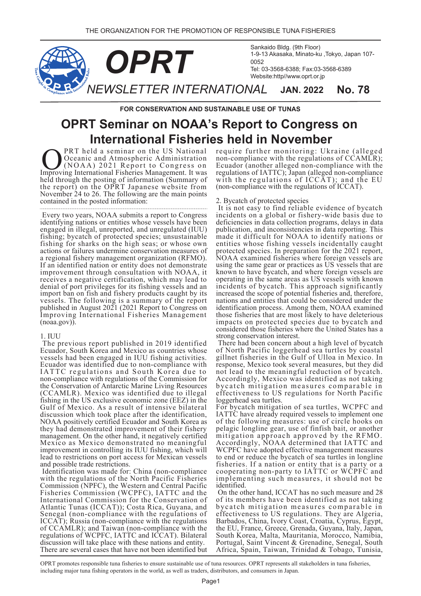

**FOR CONSERVATION AND SUSTAINABLE USE OF TUNAS** 

# **OPRT Seminar on NOAA's Report to Congress on International Fisheries held in November**

PRT held a seminar on the US National Oceanic and Atmospheric Administration (NOAA) 2021 Report to Congress on **ORT** held a seminar on the US National Oceanic and Atmospheric Administration (NOAA) 2021 Report to Congress on Improving International Fisheries Management. It was held through the posting of information (Summary of the report) on the OPRT Japanese website from November 24 to 26. The following are the main points contained in the posted information:

 Every two years, NOAA submits a report to Congress identifying nations or entities whose vessels have been engaged in illegal, unreported, and unregulated (IUU) fishing; bycatch of protected species; unsustainable fishing for sharks on the high seas; or whose own actions or failures undermine conservation measures of a regional fishery management organization (RFMO). If an identified nation or entity does not demonstrate improvement through consultation with NOAA, it receives a negative certification, which may lead to denial of port privileges for its fishing vessels and an import ban on fish and fishery products caught by its vessels. The following is a summary of the report published in August 2021 (2021 Report to Congress on Improving International Fisheries Management  $(noaa.gov)$ ).

## 1. IUU

 The previous report published in 2019 identified Ecuador, South Korea and Mexico as countries whose vessels had been engaged in IUU fishing activities. Ecuador was identified due to non-compliance with IATTC regulations and South Korea due to non-compliance with regulations of the Commission for the Conservation of Antarctic Marine Living Resources (CCAMLR). Mexico was identified due to illegal fishing in the US exclusive economic zone (EEZ) in the Gulf of Mexico. As a result of intensive bilateral discussion which took place after the identification, NOAA positively certified Ecuador and South Korea as they had demonstrated improvement of their fishery management. On the other hand, it negatively certified Mexico as Mexico demonstrated no meaningful improvement in controlling its IUU fishing, which will lead to restrictions on port access for Mexican vessels and possible trade restrictions.

 Identification was made for: China (non-compliance with the regulations of the North Pacific Fisheries Commission (NPFC), the Western and Central Pacific Fisheries Commission (WCPFC), IATTC and the International Commission for the Conservation of Atlantic Tunas (ICCAT)); Costa Rica, Guyana, and Senegal (non-compliance with the regulations of ICCAT); Russia (non-compliance with the regulations of CCAMLR); and Taiwan (non-compliance with the regulations of WCPFC, IATTC and ICCAT). Bilateral discussion will take place with these nations and entity. There are several cases that have not been identified but

require further monitoring: Ukraine (alleged non-compliance with the regulations of CCAMLR); Ecuador (another alleged non-compliance with the regulations of IATTC); Japan (alleged non-compliance with the regulations of  $\widehat{ICCAT}$ ); and the EU (non-compliance with the regulations of ICCAT).

## 2. Bycatch of protected species

 It is not easy to find reliable evidence of bycatch incidents on a global or fishery-wide basis due to deficiencies in data collection programs, delays in data publication, and inconsistencies in data reporting. This made it difficult for NOAA to identify nations or entities whose fishing vessels incidentally caught protected species. In preparation for the 2021 report, NOAA examined fisheries where foreign vessels are using the same gear or practices as US vessels that are known to have bycatch, and where foreign vessels are operating in the same areas as US vessels with known incidents of bycatch. This approach significantly increased the scope of potential fisheries and, therefore, nations and entities that could be considered under the identification process. Among them, NOAA examined those fisheries that are most likely to have deleterious impacts on protected species due to bycatch and considered those fisheries where the United States has a strong conservation interest.

 There had been concern about a high level of bycatch of North Pacific loggerhead sea turtles by coastal gillnet fisheries in the Gulf of Ulloa in Mexico. In response, Mexico took several measures, but they did not lead to the meaningful reduction of bycatch. Accordingly, Mexico was identified as not taking bycatch mitigation measures comparable in effectiveness to US regulations for North Pacific loggerhead sea turtles.

For bycatch mitigation of sea turtles, WCPFC and IATTC have already required vessels to implement one of the following measures: use of circle hooks on pelagic longline gear, use of finfish bait, or another mitigation approach approved by the RFMO. Accordingly, NOAA determined that IATTC and WCPFC have adopted effective management measures to end or reduce the bycatch of sea turtles in longline fisheries. If a nation or entity that is a party or a cooperating non-party to IATTC or WCPFC and implementing such measures, it should not be identified.

 On the other hand, ICCAT has no such measure and 28 of its members have been identified as not taking bycatch mitigation measures comparable in effectiveness to US regulations. They are Algeria, Barbados, China, Ivory Coast, Croatia, Cyprus, Egypt, the EU, France, Greece, Grenada, Guyana, Italy, Japan, South Korea, Malta, Mauritania, Morocco, Namibia, Portugal, Saint Vincent & Grenadine, Senegal, South Africa, Spain, Taiwan, Trinidad & Tobago, Tunisia,

OPRT promotes responsible tuna fisheries to ensure sustainable use of tuna resources. OPRT represents all stakeholders in tuna fisheries, including major tuna fishing operators in the world, as well as traders, distributors, and consumers in Japan.